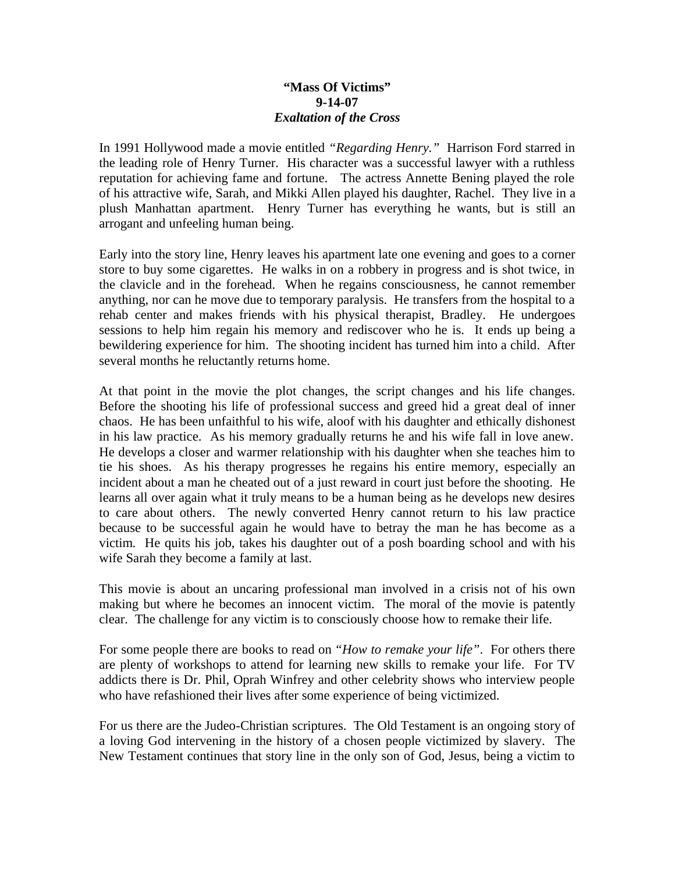## **"Mass Of Victims" 9-14-07** *Exaltation of the Cross*

In 1991 Hollywood made a movie entitled *"Regarding Henry."* Harrison Ford starred in the leading role of Henry Turner. His character was a successful lawyer with a ruthless reputation for achieving fame and fortune. The actress Annette Bening played the role of his attractive wife, Sarah, and Mikki Allen played his daughter, Rachel. They live in a plush Manhattan apartment. Henry Turner has everything he wants, but is still an arrogant and unfeeling human being.

Early into the story line, Henry leaves his apartment late one evening and goes to a corner store to buy some cigarettes. He walks in on a robbery in progress and is shot twice, in the clavicle and in the forehead. When he regains consciousness, he cannot remember anything, nor can he move due to temporary paralysis. He transfers from the hospital to a rehab center and makes friends with his physical therapist, Bradley. He undergoes sessions to help him regain his memory and rediscover who he is. It ends up being a bewildering experience for him. The shooting incident has turned him into a child. After several months he reluctantly returns home.

At that point in the movie the plot changes, the script changes and his life changes. Before the shooting his life of professional success and greed hid a great deal of inner chaos. He has been unfaithful to his wife, aloof with his daughter and ethically dishonest in his law practice. As his memory gradually returns he and his wife fall in love anew. He develops a closer and warmer relationship with his daughter when she teaches him to tie his shoes. As his therapy progresses he regains his entire memory, especially an incident about a man he cheated out of a just reward in court just before the shooting. He learns all over again what it truly means to be a human being as he develops new desires to care about others. The newly converted Henry cannot return to his law practice because to be successful again he would have to betray the man he has become as a victim. He quits his job, takes his daughter out of a posh boarding school and with his wife Sarah they become a family at last.

This movie is about an uncaring professional man involved in a crisis not of his own making but where he becomes an innocent victim. The moral of the movie is patently clear. The challenge for any victim is to consciously choose how to remake their life.

For some people there are books to read on *"How to remake your life"*. For others there are plenty of workshops to attend for learning new skills to remake your life. For TV addicts there is Dr. Phil, Oprah Winfrey and other celebrity shows who interview people who have refashioned their lives after some experience of being victimized.

For us there are the Judeo-Christian scriptures. The Old Testament is an ongoing story of a loving God intervening in the history of a chosen people victimized by slavery. The New Testament continues that story line in the only son of God, Jesus, being a victim to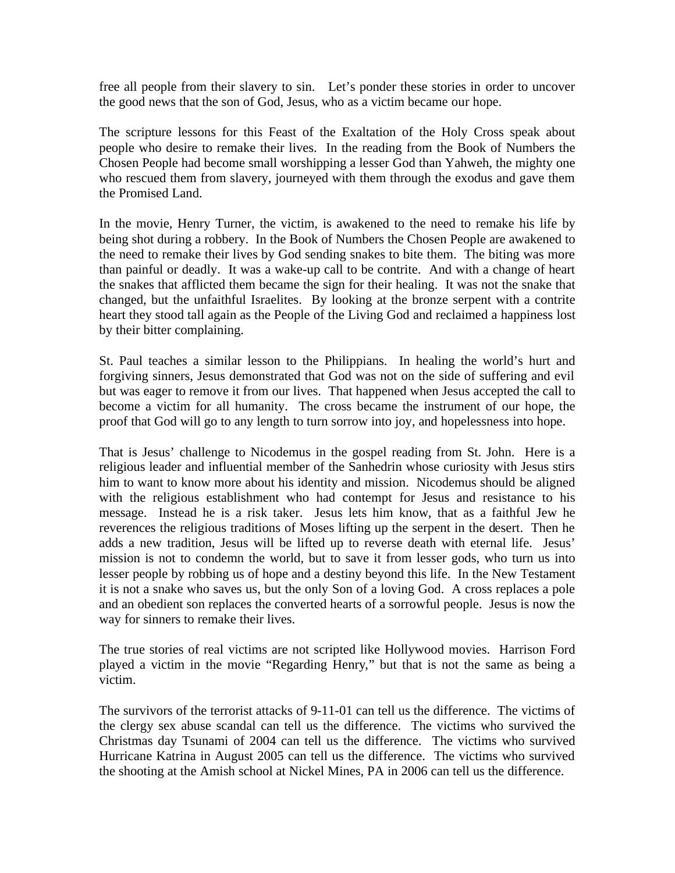free all people from their slavery to sin. Let's ponder these stories in order to uncover the good news that the son of God, Jesus, who as a victim became our hope.

The scripture lessons for this Feast of the Exaltation of the Holy Cross speak about people who desire to remake their lives. In the reading from the Book of Numbers the Chosen People had become small worshipping a lesser God than Yahweh, the mighty one who rescued them from slavery, journeyed with them through the exodus and gave them the Promised Land.

In the movie, Henry Turner, the victim, is awakened to the need to remake his life by being shot during a robbery. In the Book of Numbers the Chosen People are awakened to the need to remake their lives by God sending snakes to bite them. The biting was more than painful or deadly. It was a wake-up call to be contrite. And with a change of heart the snakes that afflicted them became the sign for their healing. It was not the snake that changed, but the unfaithful Israelites. By looking at the bronze serpent with a contrite heart they stood tall again as the People of the Living God and reclaimed a happiness lost by their bitter complaining.

St. Paul teaches a similar lesson to the Philippians. In healing the world's hurt and forgiving sinners, Jesus demonstrated that God was not on the side of suffering and evil but was eager to remove it from our lives. That happened when Jesus accepted the call to become a victim for all humanity. The cross became the instrument of our hope, the proof that God will go to any length to turn sorrow into joy, and hopelessness into hope.

That is Jesus' challenge to Nicodemus in the gospel reading from St. John. Here is a religious leader and influential member of the Sanhedrin whose curiosity with Jesus stirs him to want to know more about his identity and mission. Nicodemus should be aligned with the religious establishment who had contempt for Jesus and resistance to his message. Instead he is a risk taker. Jesus lets him know, that as a faithful Jew he reverences the religious traditions of Moses lifting up the serpent in the desert. Then he adds a new tradition, Jesus will be lifted up to reverse death with eternal life. Jesus' mission is not to condemn the world, but to save it from lesser gods, who turn us into lesser people by robbing us of hope and a destiny beyond this life. In the New Testament it is not a snake who saves us, but the only Son of a loving God. A cross replaces a pole and an obedient son replaces the converted hearts of a sorrowful people. Jesus is now the way for sinners to remake their lives.

The true stories of real victims are not scripted like Hollywood movies. Harrison Ford played a victim in the movie "Regarding Henry," but that is not the same as being a victim.

The survivors of the terrorist attacks of 9-11-01 can tell us the difference. The victims of the clergy sex abuse scandal can tell us the difference. The victims who survived the Christmas day Tsunami of 2004 can tell us the difference. The victims who survived Hurricane Katrina in August 2005 can tell us the difference. The victims who survived the shooting at the Amish school at Nickel Mines, PA in 2006 can tell us the difference.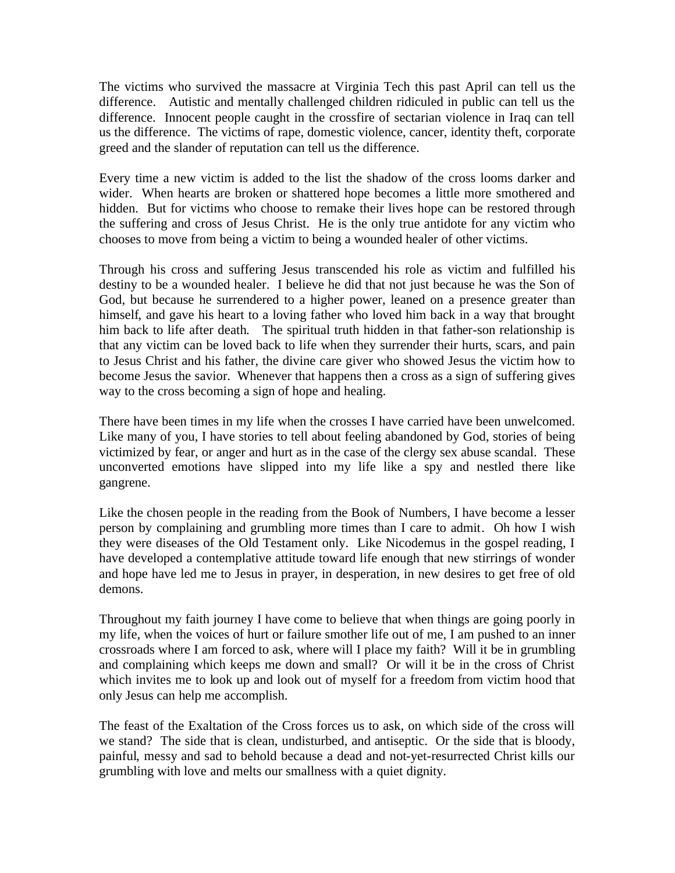The victims who survived the massacre at Virginia Tech this past April can tell us the difference. Autistic and mentally challenged children ridiculed in public can tell us the difference. Innocent people caught in the crossfire of sectarian violence in Iraq can tell us the difference. The victims of rape, domestic violence, cancer, identity theft, corporate greed and the slander of reputation can tell us the difference.

Every time a new victim is added to the list the shadow of the cross looms darker and wider. When hearts are broken or shattered hope becomes a little more smothered and hidden. But for victims who choose to remake their lives hope can be restored through the suffering and cross of Jesus Christ. He is the only true antidote for any victim who chooses to move from being a victim to being a wounded healer of other victims.

Through his cross and suffering Jesus transcended his role as victim and fulfilled his destiny to be a wounded healer. I believe he did that not just because he was the Son of God, but because he surrendered to a higher power, leaned on a presence greater than himself, and gave his heart to a loving father who loved him back in a way that brought him back to life after death. The spiritual truth hidden in that father-son relationship is that any victim can be loved back to life when they surrender their hurts, scars, and pain to Jesus Christ and his father, the divine care giver who showed Jesus the victim how to become Jesus the savior. Whenever that happens then a cross as a sign of suffering gives way to the cross becoming a sign of hope and healing.

There have been times in my life when the crosses I have carried have been unwelcomed. Like many of you, I have stories to tell about feeling abandoned by God, stories of being victimized by fear, or anger and hurt as in the case of the clergy sex abuse scandal. These unconverted emotions have slipped into my life like a spy and nestled there like gangrene.

Like the chosen people in the reading from the Book of Numbers, I have become a lesser person by complaining and grumbling more times than I care to admit. Oh how I wish they were diseases of the Old Testament only. Like Nicodemus in the gospel reading, I have developed a contemplative attitude toward life enough that new stirrings of wonder and hope have led me to Jesus in prayer, in desperation, in new desires to get free of old demons.

Throughout my faith journey I have come to believe that when things are going poorly in my life, when the voices of hurt or failure smother life out of me, I am pushed to an inner crossroads where I am forced to ask, where will I place my faith? Will it be in grumbling and complaining which keeps me down and small? Or will it be in the cross of Christ which invites me to look up and look out of myself for a freedom from victim hood that only Jesus can help me accomplish.

The feast of the Exaltation of the Cross forces us to ask, on which side of the cross will we stand? The side that is clean, undisturbed, and antiseptic. Or the side that is bloody, painful, messy and sad to behold because a dead and not-yet-resurrected Christ kills our grumbling with love and melts our smallness with a quiet dignity.